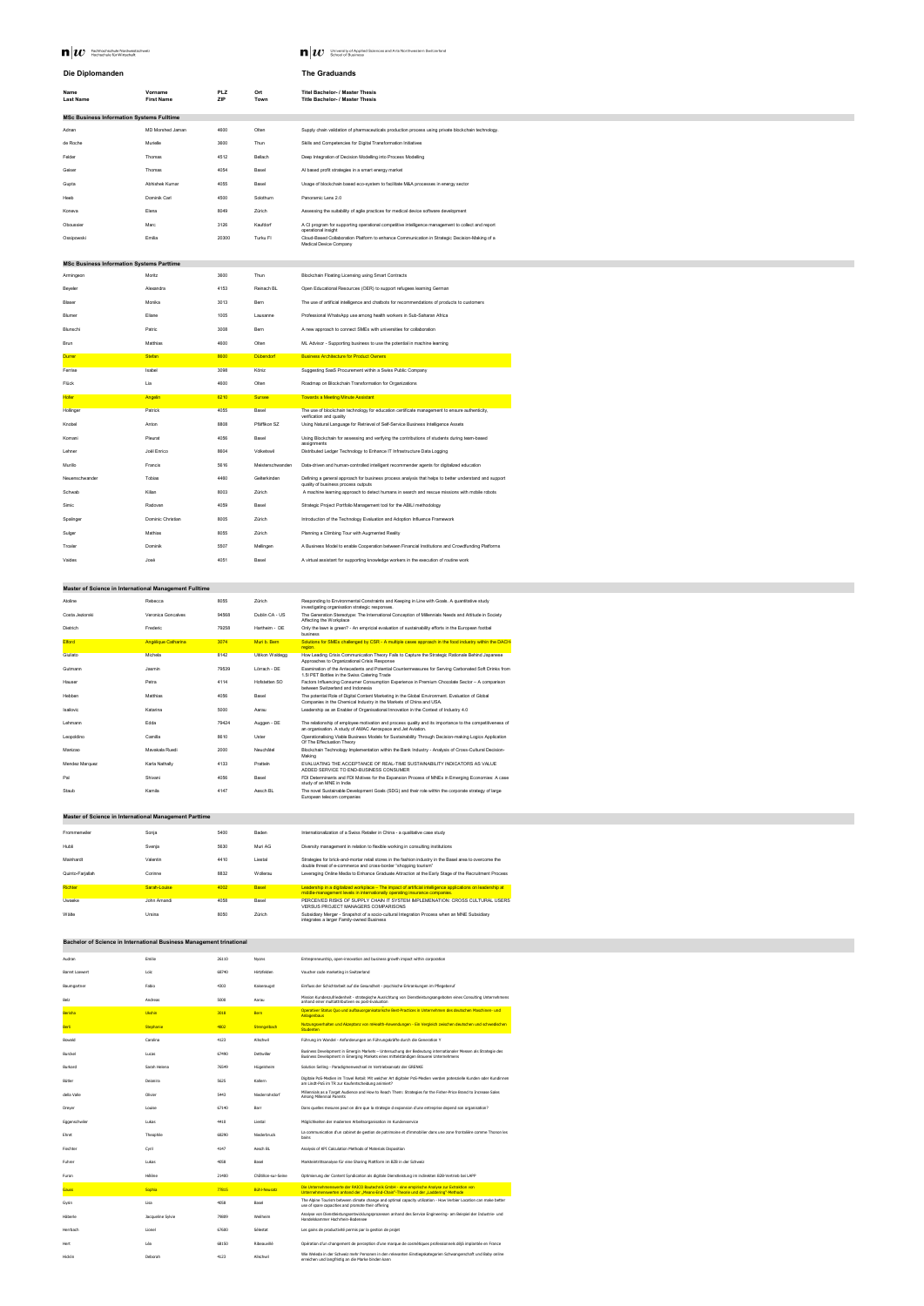| $\mathbf{n} w$<br>Fachhochschule Nordwestschweiz<br>Hochschule für Wirtschaft |  |
|-------------------------------------------------------------------------------|--|
|-------------------------------------------------------------------------------|--|

**Last Name**

**M** University of Applied Sciences and Arts Northwestern Switzerland<br>School of Business

| Die Diplomanden  |                   |            |      | <b>The Graduands</b>                   |
|------------------|-------------------|------------|------|----------------------------------------|
| <b>Name</b>      | Vorname           | <b>PLZ</b> | Ort  | <b>Titel Bachelor- / Master Thesis</b> |
| <b>Last Name</b> | <b>First Name</b> | ZIP        | Town | <b>Title Bachelor- / Master Thesis</b> |

**ZIP**

**Title Bachelor- / Master Thesis**

# **MSc Business Information Systems Fulltime**

| Adnan      | <b>MD Morshed Jaman</b> | 4600  | Olten     | Supply chain validation of pharmaceuticals production process using private blockchain technology.                             |
|------------|-------------------------|-------|-----------|--------------------------------------------------------------------------------------------------------------------------------|
| de Roche   | Murielle                | 3600  | Thun      | Skills and Competencies for Digital Transformation Initiatives                                                                 |
| Felder     | Thomas                  | 4512  | Bellach   | Deep Integration of Decision Modelling into Process Modelling                                                                  |
| Geiser     | Thomas                  | 4054  | Basel     | Al based profit strategies in a smart energy market                                                                            |
| Gupta      | Abhishek Kumar          | 4055  | Basel     | Usage of blockchain based eco-system to facilitate M&A processes in energy sector                                              |
| Heeb       | Dominik Carl            | 4500  | Solothurn | Panoramic Lens 2.0                                                                                                             |
| Koneva     | Elena                   | 8049  | Zürich    | Assessing the suitability of agile practices for medical device software development                                           |
| Oboussier  | Marc                    | 3126  | Kaufdorf  | A CI program for supporting operational competitive intelligence management to collect and report<br>operational insight       |
| Ossipowski | Emilia                  | 20300 | Turku FI  | Cloud-Based Collaboration Platform to enhance Communication in Strategic Decision-Making of a<br><b>Medical Device Company</b> |

# **MSc Business Information Systems Parttime**

| Armingeon      | Moritz            | 3600 | Thun             | <b>Blockchain Floating Licensing using Smart Contracts</b>                                                                                   |
|----------------|-------------------|------|------------------|----------------------------------------------------------------------------------------------------------------------------------------------|
| <b>Beyeler</b> | Alexandra         | 4153 | Reinach BL       | Open Educational Resources (OER) to support refugees learning German                                                                         |
| <b>Blaser</b>  | Monika            | 3013 | Bern             | The use of artificial intelligence and chatbots for recommendations of products to customers                                                 |
| <b>Blumer</b>  | Eliane            | 1005 | Lausanne         | Professional WhatsApp use among health workers in Sub-Saharan Africa                                                                         |
| Blunschi       | Patric            | 3008 | Bern             | A new approach to connect SMEs with universities for collaboration                                                                           |
| <b>Brun</b>    | Matthias          | 4600 | Olten            | ML Advisor - Supporting business to use the potential in machine learning                                                                    |
| <b>Durrer</b>  | <b>Stefan</b>     | 8600 | <b>Dübendorf</b> | <b>Business Architecture for Product Owners</b>                                                                                              |
| Ferrise        | Isabel            | 3098 | Köniz            | Suggesting SaaS Procurement within a Swiss Public Company                                                                                    |
| Flück          | Lia               | 4600 | Olten            | Roadmap on Blockchain Transformation for Organizations                                                                                       |
| <b>Hofer</b>   | Angelin           | 6210 | <b>Sursee</b>    | <b>Towards a Meeting Minute Assistant</b>                                                                                                    |
| Hollinger      | Patrick           | 4055 | Basel            | The use of blockchain technology for education certificate management to ensure authenticity,<br>verification and quality                    |
| Knobel         | Anton             | 8808 | Pfäffikon SZ     | Using Natural Language for Retrieval of Self-Service Business Intelligence Assets                                                            |
| Komani         | Pleurat           | 4056 | Basel            | Using Blockchain for assessing and verifying the contributions of students during team-based<br>assignments                                  |
| Lehner         | Joël Enrico       | 8604 | Volketswil       | Distributed Ledger Technology to Enhance IT Infrastructure Data Logging                                                                      |
| Murillo        | Francis           | 5616 | Meisterschwanden | Data-driven and human-controlled intelligent recommender agents for digitalized education                                                    |
| Neuenschwander | Tobias            | 4460 | Gelterkinden     | Defining a general approach for business process analysis that helps to better understand and support<br>quality of business process outputs |
| Schwab         | Kilian            | 8003 | Zürich           | A machine learning approach to detect humans in search and rescue missions with mobile robots                                                |
| Simic          | Radovan           | 4059 | Basel            | Strategic Project Portfolio Management tool for the ABILI methodology                                                                        |
| Spalinger      | Dominic Christian | 8005 | Zürich           | Introduction of the Technology Evaluation and Adoption Influence Framework                                                                   |
| Sulger         | Mathias           | 8055 | Zürich           | Planning a Climbing Tour with Augmented Reality                                                                                              |
| Troxler        | Dominik           | 5507 | Mellingen        | A Business Model to enable Cooperation between Financial Institutions and Crowdfunding Platforms                                             |
| Vaides         | José              | 4051 | Basel            | A virtual assistant for supporting knowledge workers in the execution of routine work                                                        |

| Atoline         | Rebecca                    | 8055  | Zürich          | Responding to Environmental Constraints and Keeping in Line with Goals. A quantitative study<br>investigating organisation strategic responses.                          |
|-----------------|----------------------------|-------|-----------------|--------------------------------------------------------------------------------------------------------------------------------------------------------------------------|
| Costa Jeziorski | Veronica Goncalves         | 94568 | Dublin CA - US  | The Generation Stereotype: The International Conception of Millennials Needs and Attitude in Society<br>Affecting the Workplace                                          |
| Dietrich        | Frederic                   | 79258 | Hartheim - DE   | Only the lawn is green? - An empricial evaluation of sustainability efforts in the European footbal<br>business                                                          |
| <b>Elford</b>   | <b>Angélique Catharina</b> | 3074  | Muri b. Bern    | Solutions for SMEs challenged by CSR - A multiple cases approach in the food industry within the DACH<br>region.                                                         |
| Giuliato        | Michela                    | 8142  | Uitikon Waldegg | How Leading Crisis Communication Theory Fails to Capture the Strategic Rationale Behind Japanese<br>Approaches to Organizational Crisis Response                         |
| Gutmann         | Jasmin                     | 79539 | Lörrach - DE    | Examination of the Antecedents and Potential Countermeasures for Serving Carbonated Soft Drinks from<br>1.5I PET Bottles in the Swiss Catering Trade                     |
| Hauser          | Petra                      | 4114  | Hofstetten SO   | Factors Influencing Consumer Consumption Experience in Premium Chocolate Sector - A comparison<br>between Switzerland and Indonesia                                      |
| Hebben          | Matthias                   | 4056  | Basel           | The potential Role of Digital Content Marketing in the Global Environment. Evaluation of Global<br>Companies in the Chemical Industry in the Markets of China and USA.   |
| Isailovic       | Katarina                   | 5000  | Aarau           | Leadership as an Enabler of Organisational Innovation in the Context of Industry 4.0                                                                                     |
| Lehmann         | Edda                       | 79424 | Auggen - DE     | The relationship of employee motivation and process quality and its importance to the competitiveness of<br>an organisation. A study of AMAC Aerospace and Jet Aviation. |
| Leopoldino      | Camilla                    | 8610  | Uster           | Operationalising Viable Business Models for Sustainability Through Decision-making Logics Application<br>Of The Effectuation Theory                                      |
| Manizao         | Mavakala Ruedi             | 2000  | Neuchâtel       | Blockchain Technology Implementation within the Bank Industry - Analysis of Cross-Cultural Decision-<br>Making                                                           |
| Mendez Marquez  | Karla Nathally             | 4133  | Pratteln        | EVALUATING THE ACCEPTANCE OF REAL-TIME SUSTAINABILITY INDICATORS AS VALUE<br>ADDED SERVICE TO END-BUSINESS CONSUMER                                                      |
| Pal             | Shivani                    | 4056  | <b>Basel</b>    | FDI Determinants and FDI Motives for the Expansion Process of MNEs in Emerging Economies: A case<br>study of an MNE in India                                             |
| Staub           | Kamila                     | 4147  | Aesch BL        | The novel Sustainable Development Goals (SDG) and their role within the corporate strategy of large<br>European telecom companies                                        |

| Frommenwiler     | Sonja        | 5400 | Baden        | Internationalization of a Swiss Retailer in China - a qualitative case study                                                                                                              |
|------------------|--------------|------|--------------|-------------------------------------------------------------------------------------------------------------------------------------------------------------------------------------------|
| Hubli            | Svenja       | 5630 | Muri AG      | Diversity management in relation to flexible working in consulting institutions                                                                                                           |
| Mainhardt        | Valentin     | 4410 | Liestal      | Strategies for brick-and-mortar retail stores in the fashion industry in the Basel area to overcome the<br>double threat of e-commerce and cross-border "shopping tourism"                |
| Quinto-Farjallah | Corinne      | 8832 | Wollerau     | Leveraging Online Media to Enhance Graduate Attraction at the Early Stage of the Recruitment Process                                                                                      |
| <b>Richter</b>   | Sarah-Louise | 4002 | <b>Basel</b> | Leadership in a digitalized workplace - The impact of artificial intelligence applications on leadership at<br>middle-management levels in internationally operating insurance companies. |
| Uwaeke           | John Amandi  | 4058 | Basel        | PERCEIVED RISKS OF SUPPLY CHAIN IT SYSTEM IMPLEMENATION: CROSS CULTURAL USERS<br><b>VERSUS PROJECT MANAGERS COMPARISONS</b>                                                               |
| Wälte            | Ursina       | 8050 | Zürich       | Subsidiary Merger - Snapshot of a socio-cultural Integration Process when an MNE Subsidiary<br>integrates a larger Family-owned Business                                                  |

| Audran                | Emilie            | 26110 | <b>Nyons</b>        | Entrepreneurship, open-innovation and business growth impact within corporation                                                                                                                       |
|-----------------------|-------------------|-------|---------------------|-------------------------------------------------------------------------------------------------------------------------------------------------------------------------------------------------------|
| <b>Barret Loewert</b> | Loïc              | 68740 | Hirtzfelden         | Voucher code marketing in Switzerland                                                                                                                                                                 |
| Baumgartner           | Fabio             | 4303  | Kaiseraugst         | Einfluss der Schichtarbeit auf die Gesundheit - psychische Erkrankungen im Pflegeberuf                                                                                                                |
| Belz                  | Andreas           | 5000  | Aarau               | Mission Kundenzufriedenheit - strategische Ausrichtung von Dienstleistungsangeboten eines Consulting Unternehmens<br>anhand einer multiattributiven ex post-Evaluation                                |
| Berisha               | <b>Ukshin</b>     | 3018  | <b>Bern</b>         | Operativer Status Quo und aufbauorganisatorische Best-Practices in Unternehmen des deutschen Maschinen- und<br>Anlagenbaus                                                                            |
| Berli                 | Stephanie         | 4802  | Strengelbach        | Nutzungsverhalten und Akzeptanz von mHealth-Anwendungen - Ein Vergleich zwischen deutschen und schwedischen<br>Studenten                                                                              |
| Bowald                | Carolina          | 4123  | Allschwil           | Führung im Wandel - Anforderungen an Führungskräfte durch die Generation Y                                                                                                                            |
| Burckel               | Lucas             | 67490 | Dettwiller          | Business Development in Emergin Markets - Untersuchung der Bedeutung internationaler Messen als Strategie des<br>Business Development in Emerging Markets eines mittelständigen Brauerei Unternehmens |
| <b>Burkard</b>        | Sarah Helena      | 76549 | Hügelsheim          | Solution Selling - Paradigmenwechsel im Vertriebsansatz der GRENKE                                                                                                                                    |
| Bütler                | Deianira          | 5625  | Kallern             | Digitale PoS-Medien im Travel Retail: Mit welcher Art digitaler PoS-Medien werden potenzielle Kunden oder Kundinnen<br>am Lindt-PoS im TR zur Kaufentscheidung animiert?                              |
| della Valle           | Olivier           | 5443  | Niederrohrdorf      | Millennials as a Target Audience and How to Reach Them: Strategies for the Fisher-Price Brand to Increase Sales<br>Among Millennial Parents                                                           |
| Dreyer                | Louise            | 67140 | Barr                | Dans quelles mesures peut on dire que la strategie d expansion d'une entreprise depend son organisation?                                                                                              |
| Eggenschwiler         | Lukas             | 4410  | Liestal             | Möglichkeiten der modernen Arbeitsorganisation im Kundenservice                                                                                                                                       |
| Ehret                 | Theophile         | 68290 | Niederbruck         | La communication d'un cabinet de gestion de patrimoine et d'immobilier dans une zone frontalière comme Thonon les<br>bains                                                                            |
| Fiechter              | Cyril             | 4147  | Aesch BL            | Analysis of KPI Calculation Methods of Materials Disposition                                                                                                                                          |
| Fuhrer                | Lukas             | 4058  | Basel               | Markteintrittsanalyse für eine Sharing Plattform im BZB in der Schweiz                                                                                                                                |
| Furon                 | Hélène            | 21400 | Châtillon-sur-Seine | Optimierung der Content Syndication als digitale Dienstleistung im indirekten B2B-Vertrieb bei LAPP                                                                                                   |
| <b>Gauss</b>          | Sophia            | 77815 | Bühl-Neusatz        | Die Unternehmenswerte der RAICO Bautechnik GmbH - eine empirische Analyse zur Extraktion von<br>Unternehmenswerten anhand der "Means-End-Chain"-Theorie und der "Laddering"-Methode                   |
| Gysin                 | Lisa              | 4058  | Basel               | The Alpine Tourism between climate change and optimal capacity utilization - How Verbier Location can make better<br>use of spare capacities and promote their offering                               |
| Häberle               | Jacqueline Sylvie | 79809 | Weilheim            | Analyse von Dienstleistungsentwicklungsprozessen anhand des Service Engineering- am Beispiel der Industrie- und<br>Handelskammer Hochrhein-Bodensee                                                   |
| Herrbach              | Lionel            | 67600 | Sélestat            | Les gains de productivité permis par la gestion de projet                                                                                                                                             |
| Hert                  | l éa              | 68150 | Ribeauvillé         | Onération d'un changement de perception d'une marque de cosmétiques professionnels déjà implantée en France                                                                                           |

#### Hert Eannes Léa Marie 1981 by the Ribeauville Ribeauville Changement de perception d'une marque de cosmétiques professionnels déjà implantée en France

# Hicklin Wie Weleda in der Schweiz mehr Personen in den relevanten Einstiegskategorien Schwangerschaft und Baby online<br>Hicklin Marke binden kann die Marke binden kann die Marke binden kann die Marke binden kann die Marke bi

# **Master of Science in International Management Fulltime**

# **Bachelor of Science in International Business Management trinational**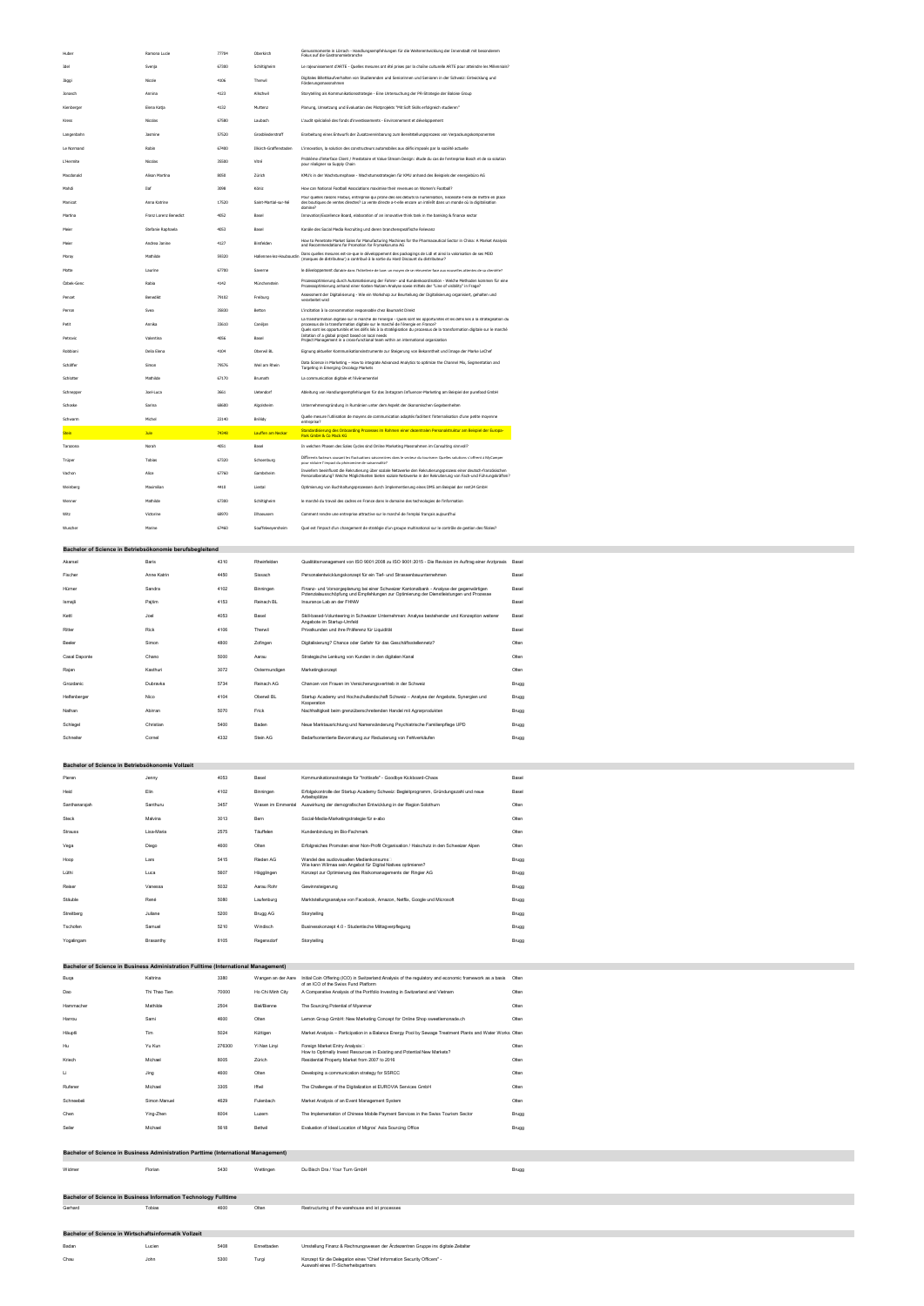| Huber        | Ramona Lucie          | 77704 | Oberkirch                | Genussmomente in Lörrach - Handlungsempfehlungen für die Weiterentwicklung der Innenstadt mit besonderem<br>Fokus auf die Gastronomiebranche                                                                                                                                                                                                |
|--------------|-----------------------|-------|--------------------------|---------------------------------------------------------------------------------------------------------------------------------------------------------------------------------------------------------------------------------------------------------------------------------------------------------------------------------------------|
| Idel         | Svenja                | 67300 | Schiltigheim             | Le rajeunissement d'ARTE - Quelles mesures ont été prises par la chaîne culturelle ARTE pour atteindre les Millennials?                                                                                                                                                                                                                     |
| Jäggi        | Nicole                | 4106  | Therwil                  | Digitales Billettkaufverhalten von Studierenden und Seniorinnen und Senioren in der Schweiz: Entwicklung und<br>Förderungsmassnahmen                                                                                                                                                                                                        |
| Jonasch      | Annina                | 4123  | Allschwil                | Storytelling als Kommunikationsstrategie - Eine Untersuchung der PR-Strategie der Baloise Group                                                                                                                                                                                                                                             |
| Kienberger   | Elena Katja           | 4132  | Muttenz                  | Planung, Umsetzung und Evaluation des Pilotprojekts "Mit Soft Skills erfolgreich studieren"                                                                                                                                                                                                                                                 |
| Kress        | Nicolas               | 67580 | Laubach                  | L'audit spécialisé des fonds d'investissements - Environnement et développement                                                                                                                                                                                                                                                             |
| Langenbahn   | Jasmine               | 57520 | Grosbliederstroff        | Erarbeitung eines Entwurfs der Zusatzvereinbarung zum Bereitstellungsprozess von Verpackungskomponenten                                                                                                                                                                                                                                     |
| Le Normand   | Robin                 | 67400 | Illkirch-Graffenstaden   | L'innovation, la solution des constructeurs automobiles aux défis imposés par la société actuelle                                                                                                                                                                                                                                           |
| L'Hermite    | Nicolas               | 35500 | Vitré                    | Problème d'interface Client / Prestataire et Value Stream Design: étude du cas de l'entreprise Bosch et de sa solution<br>pour réaligner sa Supply Chain                                                                                                                                                                                    |
| Macdonald    | Alison Martina        | 8050  | Zürich                   | KMU's in der Wachstumsphase - Wachstumsstrategien für KMU anhand des Beispiels der energiebüro AG                                                                                                                                                                                                                                           |
| Mahdi        | Ilaf                  | 3098  | Köniz                    | How can National Football Associations maximise their revenues on Women's Football?                                                                                                                                                                                                                                                         |
| Manicot      | Anna Katrine          | 17520 | Saint-Martial-sur-Né     | Pour quelles raisons Flixbus, entreprise qui prône dès ses débuts la numérisation, nécessite-t-elle de mettre en place<br>des boutiques de ventes directes? La vente directe a-t-elle encore un intérêt dans un monde où la digitalisation<br>domine?                                                                                       |
| Martina      | Franz Lorenz Benedict | 4052  | Basel                    | Innovation/Excellence Board, elaboration of an innovative think tank in the banking & finance sector                                                                                                                                                                                                                                        |
| Meier        | Stefanie Raphaela     | 4053  | Basel                    | Kanäle des Social Media Recruiting und deren branchenspezifische Relevanz                                                                                                                                                                                                                                                                   |
| Meier        | Andrea Janine         | 4127  | Birsfelden               | How to Penetrate Market Sales for Manufacturing Machines for the Pharmaceutical Sector in China: A Market Analysis<br>and Recommendations for Promotion for FrymaKoruma AG                                                                                                                                                                  |
| Moroy        | Mathilde              | 59320 | Hallennes-lez-Haubourdin | Dans quelles mesures est-ce-que le développement des packagings de Lidl et ainsi la valorisation de ses MDD<br>(marques de distributeur) a contribué à la sortie du Hard Discount du distributeur?                                                                                                                                          |
| Motte        | Laurine               | 67700 | Saverne                  | le développement durable dans l'hôtellerie de luxe: un moyen de se réinventer face aux nouvelles attentes de sa clientèle?                                                                                                                                                                                                                  |
| Özbek-Genc   | Rabia                 | 4142  | Münchenstein             | Prozessoptimierung durch Automatisierung der Fahrer- und Kundenkoordination - Welche Methoden kommen für eine<br>Prozessoptimierung anhand einer Kosten-Nutzen-Analyse sowie mittels der "Line of visibility" in Frage?                                                                                                                     |
| Pencet       | Benedikt              | 79102 | Freiburg                 | Assessment der Digitalisierung - Wie ein Workshop zur Beurteilung der Digitalisierung organisiert, gehalten und<br>verarbeitet wird                                                                                                                                                                                                         |
| Perron       | Svea                  | 35830 | Betton                   | L'incitation à la consommation responsable chez Baumarkt Direkt                                                                                                                                                                                                                                                                             |
| Petit        | Annika                | 33610 | Canéjan                  | La transformation digitale sur le marché de l'énergie - Quels sont les opportunités et les défis liés à la stratégisation du<br>processus de la transformation digitale sur le marché de l'énergie en France?<br>Ouels sont les opportunités et les défis liés à la stratégisation du processus de la transformation digitale sur le marché |
| Petrovic     | Valentina             | 4056  | Basel                    | Initation of a global project based on local needs<br>Project Management in a cross-functional team within an international organization                                                                                                                                                                                                    |
| Robbiani     | Delia Elena           | 4104  | Oberwil BL               | Eignung aktueller Kommunikationsinstrumente zur Steigerung von Bekanntheit und Image der Marke LeChef                                                                                                                                                                                                                                       |
| Schäffer     | Simon                 | 79576 | Weil am Rhein            | Data Science in Marketing - How to integrate Advanced Analytics to optimize the Channel Mix, Segmentation and<br>Targeting in Emerging Oncology Markets                                                                                                                                                                                     |
| Schlotter    | Mathilde              | 67170 | Brumath                  | La communication digitale et l'évènementiel                                                                                                                                                                                                                                                                                                 |
| Schnepper    | Joel-Luca             | 3661  | Uetendorf                | Ableitung von Handlungsempfehlungen für das Instagram Influencer-Marketing am Beispiel der purefood GmbH                                                                                                                                                                                                                                    |
| Schoske      | Sarina                | 68600 | Algolsheim               | Unternehmensgründung in Rumänien unter dem Aspekt der ökonomischen Gegebenheiten                                                                                                                                                                                                                                                            |
| Schwarm      | Michel                | 22140 | Brélidy                  | Quelle mesure l'utilisation de moyens de communication adaptés facilitent l'internalisation d'une petite moyenne<br>entreprise?                                                                                                                                                                                                             |
| <b>Stein</b> | <b>Jule</b>           | 74348 | Lauffen am Neckar        | Standardisierung des Onboarding Prozesses im Rahmen einer dezentralen Personalstruktur am Beispiel der Europa-<br>Park GmbH & Co Mack KG                                                                                                                                                                                                    |
| Tarazona     | Norah                 | 4051  | Basel                    | In welchen Phasen des Sales Cycles sind Online Marketing Massnahmen im Consulting sinnvoll?                                                                                                                                                                                                                                                 |
| Trüper       | Tobias                | 67320 | Schoenburg               | Différents facteurs causant les fluctuations saisonnières dans le secteur du tourisme: Quelles solutions s'offrent à MyCamper<br>pour réduire l'impact du phénomène de saisonnalité?                                                                                                                                                        |
| Vachon       | Alice                 | 67760 | Gambsheim                | Inwiefern beeinflusst die Rekrutierung über soziale Netzwerke den Rekrutierungsprozess einer deutsch-französischen<br>Personalberatung? Welche Möglichkeiten bieten soziale Netzwerke in der Rekrutierung von Fach-und Führungskräften?                                                                                                     |
| Weinberg     | Maximilian            | 4410  | Liestal                  | Optimierung von Buchhaltungsprozessen durch Implementierung eines DMS am Beispiel der rent24 GmbH                                                                                                                                                                                                                                           |
| Wenner       | Mathilde              | 67300 | Schiltigheim             | le marché du travail des cadres en France dans le domaine des technologies de l'information                                                                                                                                                                                                                                                 |
| Witz         | Victorine             | 68970 | Illhaeusern              | Comment rendre une entreprise attractive sur le marché de l'emploi français aujourd'hui                                                                                                                                                                                                                                                     |
| Wuscher      | Marine                | 67460 | Souffelweyersheim        | Quel est l'impact d'un changement de stratégie d'un groupe multinational sur le contrôle de gestion des filiales?                                                                                                                                                                                                                           |

# **Bachelor of Science in Betriebsökonomie berufsbegleitend**

| Akarsel       | <b>Baris</b> | 4310 | Rheinfelden   | Qualitätsmanagement von ISO 9001:2008 zu ISO 9001:2015 - Die Revision im Auftrag einer Arztpraxis                                                                                    | Basel        |
|---------------|--------------|------|---------------|--------------------------------------------------------------------------------------------------------------------------------------------------------------------------------------|--------------|
| Fischer       | Anne Katrin  | 4450 | Sissach       | Personalentwicklungskonzept für ein Tief- und Strassenbauunternehmen                                                                                                                 | <b>Basel</b> |
| Hürner        | Sandra       | 4102 | Binningen     | Finanz- und Vorsorgeplanung bei einer Schweizer Kantonalbank - Analyse der gegenwärtigen<br>Potenzialausschöpfung und Empfehlungen zur Optimierung der Dienstleistungen und Prozesse | <b>Basel</b> |
| Ismajli       | Pajtim       | 4153 | Reinach BL    | Insurance Lab an der FHNW                                                                                                                                                            | <b>Basel</b> |
| Kettl         | Joel         | 4053 | Basel         | Skill-based-Volunteering in Schweizer Unternehmen: Analyse bestehender und Konzeption weiterer<br>Angebote im Startup-Umfeld                                                         | <b>Basel</b> |
| Ritter        | <b>Rick</b>  | 4106 | Therwil       | Privatkunden und ihre Präferenz für Liquidität                                                                                                                                       | <b>Basel</b> |
| <b>Beeler</b> | Simon        | 4800 | Zofingen      | Digitalisierung? Chance oder Gefahr für das Geschäftsstellennetz?                                                                                                                    | Olten        |
| Casal Daponte | Chano        | 5000 | Aarau         | Strategische Lenkung von Kunden in den digitalen Kanal                                                                                                                               | Olten        |
| Rajan         | Kasthuri     | 3072 | Ostermundigen | Marketingkonzept                                                                                                                                                                     | Olten        |
| Grozdanic     | Dubravka     | 5734 | Reinach AG    | Chancen von Frauen im Versicherungsvertrieb in der Schweiz                                                                                                                           | <b>Brugg</b> |
| Helfenberger  | Nico         | 4104 | Oberwil BL    | Startup Academy und Hochschullandschaft Schweiz - Analyse der Angebote, Synergien und<br>Kooperation                                                                                 | <b>Brugg</b> |
| Nathan        | Abirran      | 5070 | Frick         | Nachhaltigkeit beim grenzüberschreitenden Handel mit Agrarprodukten                                                                                                                  | <b>Brugg</b> |
| Schlegel      | Christian    | 5400 | Baden         | Neue Marktausrichtung und Namensänderung Psychiatrische Familienpflege UPD                                                                                                           | <b>Brugg</b> |
| Schneiter     | Cornel       | 4332 | Stein AG      | Bedarfsorientierte Bevorratung zur Reduzierung von Fehlverkäufen                                                                                                                     | <b>Brugg</b> |

### **Bachelor of Science in Betriebsökonomie Vollzeit**

| Pieren        | Jenny    | 4053 | Basel             | Kommunikationsstrategie für "trottisafe" - Goodbye Kickboard-Chaos                                     | Basel        |
|---------------|----------|------|-------------------|--------------------------------------------------------------------------------------------------------|--------------|
| Heid          | Elin     | 4102 | Binningen         | Erfolgskontrolle der Startup Academy Schweiz: Begleitprogramm, Gründungszahl und neue<br>Arbeitsplätze | <b>Basel</b> |
| Santhanarajah | Santhuru | 3457 | Wasen im Emmental | Auswirkung der demografischen Entwicklung in der Region Solothurn                                      | Olten        |
| <b>Steck</b>  | Malvina  | 3013 | Bern              | Social-Media-Marketingstrategie für e-abo                                                              | Olten        |

| <b>Strauss</b> | Lisa-Maria | 2575 | Täuffelen  | Kundenbindung im Bio-Fachmark                                                                            | Olten        |
|----------------|------------|------|------------|----------------------------------------------------------------------------------------------------------|--------------|
| Vega           | Diego      | 4600 | Olten      | Erfolgreiches Promoten einer Non-Profit Organisation / Haischutz in den Schweizer Alpen                  | Olten        |
| Hoop           | Lars       | 5415 | Rieden AG  | Wandel des audiovisuellen Medienkonsums□<br>Wie kann Wilmaa sein Angebot für Digital Natives optimieren? | <b>Brugg</b> |
| Lüthi          | Luca       | 5607 | Hägglingen | Konzept zur Optimierung des Risikomanagements der Ringier AG                                             | <b>Brugg</b> |
| Reiser         | Vanessa    | 5032 | Aarau Rohr | Gewinnsteigerung                                                                                         | <b>Brugg</b> |
| Stäuble        | René       | 5080 | Laufenburg | Marktstellungsanalyse von Facebook, Amazon, Netflix, Google und Microsoft                                | <b>Brugg</b> |
| Streitberg     | Juliane    | 5200 | Brugg AG   | Storytelling                                                                                             | <b>Brugg</b> |
| Tschofen       | Samuel     | 5210 | Windisch   | Businesskonzept 4.0 - Studentische Mittagverpflegung                                                     | <b>Brugg</b> |
| Yogalingam     | Brasanthy  | 8105 | Regensdorf | Storytelling                                                                                             | <b>Brugg</b> |

# **Bachelor of Science in Business Administration Fulltime (International Management)**

| Buqa       | Kaltrina      | 3380   | Wangen an der Aare | Initial Coin Offering (ICO) in Switzerland: Analysis of the regulatory and economic framework as a basis                  | Olten |
|------------|---------------|--------|--------------------|---------------------------------------------------------------------------------------------------------------------------|-------|
| Dao        | Thi Thao Tien | 70000  | Ho Chi Minh City   | of an ICO of the Swiss Fund Platform<br>A Comparative Analysis of the Portfolio Investing in Switzerland and Vietnam      | Olten |
| Hammacher  | Mathilde      | 2504   | <b>Biel/Bienne</b> | The Sourcing Potential of Myanmar                                                                                         | Olten |
| Harrou     | Sami          | 4600   | Olten              | Lemon Group GmbH: New Marketing Concept for Online Shop sweetlemonade.ch                                                  | Olten |
| Häuptli    | Tim           | 5024   | Küttigen           | Market Analysis - Participation in a Balance Energy Pool by Sewage Treatment Plants and Water Works Olten                 |       |
| Hu         | Yu Kun        | 276300 | Yi Nan Linyi       | Foreign Market Entry Analysis□                                                                                            | Olten |
| Kriech     | Michael       | 8005   | Zürich             | How to Optimally Invest Resources in Existing and Potential New Markets?<br>Residential Property Market from 2007 to 2016 | Olten |
| Li         | Jing          | 4600   | Olten              | Developing a communication strategy for SSRCC                                                                             | Olten |
| Rufener    | Michael       | 3305   | Iffwil             | The Challenges of the Digitalization at EUROVIA Services GmbH                                                             | Olten |
| Schneebeli | Simon Manuel  | 4629   | Fulenbach          | Market Analysis of an Event Management System                                                                             | Olten |
| Chen       | Ying-Zhen     | 6004   | Luzern             | The Implementation of Chinese Mobile Payment Services in the Swiss Tourism Sector                                         | Brugg |
| Seiler     | Michael       | 5618   | <b>Bettwil</b>     | Evaluation of Ideal Location of Migros' Asia Sourcing Office                                                              | Brugg |

# **Bachelor of Science in Business Administration Parttime (International Management)**

| Widmer | Horiar | 543C | Wettingen | Du Bisch Dra /<br>⊺urn GmbH | <b>Brugg</b> |
|--------|--------|------|-----------|-----------------------------|--------------|
|        |        |      |           |                             |              |

# **Bachelor of Science in Business Information Technology Fulltime**

Gerhard **The Community Community Community** Cernard A600 Olten Cernard Restructuring of the warehouse and ist processes

#### **Bachelor of Science in Wirtschaftsinformatik Vollzeit**